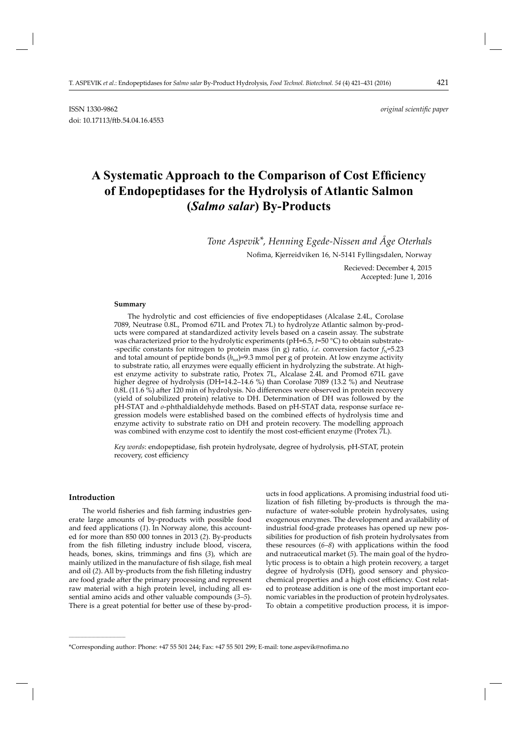ISSN 1330-9862 *original scientifi c paper*

# A Systematic Approach to the Comparison of Cost Efficiency **of Endopeptidases for the Hydrolysis of Atlantic Salmon (***Salmo salar***) By-Products**

*Tone Aspevik\*, Henning Egede-Nissen and Åge Oterhals*

Nofima, Kjerreidviken 16, N-5141 Fyllingsdalen, Norway

Recieved: December 4, 2015 Accepted: June 1, 2016

#### **Summary**

doi: 10.17113/ftb.54.04.16.4553

The hydrolytic and cost efficiencies of five endopeptidases (Alcalase 2.4L, Corolase 7089, Neutrase 0.8L, Promod 671L and Protex 7L) to hydrolyze Atlantic salmon by-products were compared at standardized activity levels based on a casein assay. The substrate was characterized prior to the hydrolytic experiments (pH=6.5, *t*=50 °C) to obtain substrate- -specific constants for nitrogen to protein mass (in g) ratio, *i.e.* conversion factor  $f_N$ =5.23 and total amount of peptide bonds ( $h_{\text{tot}}$ )=9.3 mmol per g of protein. At low enzyme activity to substrate ratio, all enzymes were equally efficient in hydrolyzing the substrate. At highest enzyme activity to substrate ratio, Protex 7L, Alcalase 2.4L and Promod 671L gave higher degree of hydrolysis (DH=14.2–14.6 %) than Corolase 7089 (13.2 %) and Neutrase  $0.8L$  (11.6 %) after 120 min of hydrolysis. No differences were observed in protein recovery (yield of solubilized protein) relative to DH. Determination of DH was followed by the pH-STAT and *o*-phthaldialdehyde methods. Based on pH-STAT data, response surface regression models were established based on the combined effects of hydrolysis time and enzyme activity to substrate ratio on DH and protein recovery. The modelling approach was combined with enzyme cost to identify the most cost-efficient enzyme (Protex 7L).

Key words: endopeptidase, fish protein hydrolysate, degree of hydrolysis, pH-STAT, protein recovery, cost efficiency

# **Introduction**

**\_\_\_\_\_\_\_\_\_\_\_\_\_\_\_\_\_\_\_\_\_\_\_\_\_\_\_\_\_\_**

The world fisheries and fish farming industries generate large amounts of by-products with possible food and feed applications (*1*). In Norway alone, this accounted for more than 850 000 tonnes in 2013 (*2*). By-products from the fish filleting industry include blood, viscera, heads, bones, skins, trimmings and fins (3), which are mainly utilized in the manufacture of fish silage, fish meal and oil (2). All by-products from the fish filleting industry are food grade after the primary processing and represent raw material with a high protein level, including all essential amino acids and other valuable compounds (*3–5*). There is a great potential for better use of these by-products in food applications. A promising industrial food utilization of fish filleting by-products is through the manufacture of water-soluble protein hydrolysates, using exogenous enzymes. The development and availability of industrial food-grade proteases has opened up new possibilities for production of fish protein hydrolysates from these resources (*6–8*) with applications within the food and nutraceutical market (*5*). The main goal of the hydrolytic process is to obtain a high protein recovery, a target degree of hydrolysis (DH), good sensory and physicochemical properties and a high cost efficiency. Cost related to protease addition is one of the most important economic variables in the production of protein hydrolysates. To obtain a competitive production process, it is impor-

<sup>\*</sup>Corresponding author: Phone: +47 55 501 244; Fax: +47 55 501 299; E-mail: tone.aspevik@nofi ma.no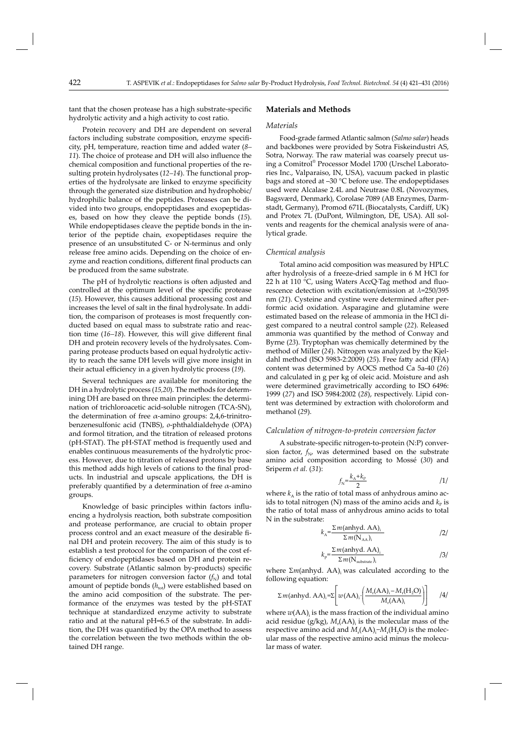tant that the chosen protease has a high substrate-specific hydrolytic activity and a high activity to cost ratio.

Protein recovery and DH are dependent on several factors including substrate composition, enzyme specificity, pH, temperature, reaction time and added water (*8–* 11). The choice of protease and DH will also influence the chemical composition and functional properties of the resulting protein hydrolysates (*12–14*). The functional properties of the hydrolysate are linked to enzyme specificity through the generated size distribution and hydrophobic/ hydrophilic balance of the peptides. Proteases can be divided into two groups, endopeptidases and exopeptidases, based on how they cleave the peptide bonds (*15*). While endopeptidases cleave the peptide bonds in the interior of the peptide chain, exopeptidases require the presence of an unsubstituted C- or N-terminus and only release free amino acids. Depending on the choice of enzyme and reaction conditions, different final products can be produced from the same substrate.

The pH of hydrolytic reactions is often adjusted and controlled at the optimum level of the specific protease (*15*). However, this causes additional processing cost and increases the level of salt in the final hydrolysate. In addition, the comparison of proteases is most frequently conducted based on equal mass to substrate ratio and reaction time (16–18). However, this will give different final DH and protein recovery levels of the hydrolysates. Comparing protease products based on equal hydrolytic activity to reach the same DH levels will give more insight in their actual efficiency in a given hydrolytic process (19).

Several techniques are available for monitoring the DH in a hydrolytic process (*15,20*). The methods for determining DH are based on three main principles: the determination of trichloroacetic acid-soluble nitrogen (TCA-SN), the determination of free α-amino groups: 2,4,6-trinitrobenzenesulfonic acid (TNBS), *o*-phthaldialdehyde (OPA) and formol titration, and the titration of released protons (pH-STAT). The pH-STAT method is frequently used and enables continuous measurements of the hydrolytic process. However, due to titration of released protons by base this method adds high levels of cations to the final products. In industrial and upscale applications, the DH is preferably quantified by a determination of free  $\alpha$ -amino groups.

Knowledge of basic principles within factors influencing a hydrolysis reaction, both substrate composition and protease performance, are crucial to obtain proper process control and an exact measure of the desirable final DH and protein recovery. The aim of this study is to establish a test protocol for the comparison of the cost efficiency of endopeptidases based on DH and protein recovery. Substrate (Atlantic salmon by-products) specific parameters for nitrogen conversion factor  $(f<sub>N</sub>)$  and total amount of peptide bonds  $(h_{\text{tot}})$  were established based on the amino acid composition of the substrate. The performance of the enzymes was tested by the pH-STAT technique at standardized enzyme activity to substrate ratio and at the natural pH=6.5 of the substrate. In addition, the DH was quantified by the OPA method to assess the correlation between the two methods within the obtained DH range.

# **Materials and Methods**

# *Materials*

Food-grade farmed Atlantic salmon (*Salmo salar*) heads and backbones were provided by Sotra Fiskeindustri AS, Sotra, Norway. The raw material was coarsely precut using a Comitrol® Processor Model 1700 (Urschel Laboratories Inc., Valparaiso, IN, USA), vacuum packed in plastic bags and stored at –30 °C before use. The endopeptidases used were Alcalase 2.4L and Neutrase 0.8L (Novozymes, Bagsværd, Denmark), Corolase 7089 (AB Enzymes, Darmstadt, Germany), Promod 671L (Biocatalysts, Cardiff, UK) and Protex 7L (DuPont, Wilmington, DE, USA). All solvents and reagents for the chemical analysis were of analytical grade.

#### *Chemical analysis*

Total amino acid composition was measured by HPLC after hydrolysis of a freeze-dried sample in 6 M HCl for 22 h at 110  $\degree$ C, using Waters AccQ $\degree$ Tag method and fluorescence detection with excitation/emission at *λ*=250/395 nm (21). Cysteine and cystine were determined after performic acid oxidation. Asparagine and glutamine were estimated based on the release of ammonia in the HCl digest compared to a neutral control sample (*22*). Released ammonia was quantified by the method of Conway and Byrne (*23*). Tryptophan was chemically determined by the method of Miller (*24*). Nitrogen was analyzed by the Kjeldahl method (ISO 5983-2:2009) (25). Free fatty acid (FFA) content was determined by AOCS method Ca 5a-40 (*26*) and calculated in g per kg of oleic acid. Moisture and ash were determined gravimetrically according to ISO 6496: 1999 (*27*) and ISO 5984:2002 (*28*), respectively. Lipid content was determined by extraction with choloroform and methanol (*29*).

#### *Calculation of nitrogen-to-protein conversion factor*

A substrate-specific nitrogen-to-protein (N:P) conversion factor,  $f_{N}$ , was determined based on the substrate amino acid composition according to Mossé (*30*) and Sriperm *et al.* (*31*):

$$
f_{\rm N} = \frac{k_{\rm A} + k_{\rm P}}{2} \tag{1}
$$

where  $k_A$  is the ratio of total mass of anhydrous amino acids to total nitrogen (N) mass of the amino acids and  $k<sub>P</sub>$  is the ratio of total mass of anhydrous amino acids to total N in the substrate:

$$
k_{A} = \frac{\sum m(\text{anhyd. AA})_{i}}{\sum m(\mathbf{N}_{AA})_{i}}
$$

$$
k_{\rm p} = \frac{\sum m(\text{anhyd. AA})_{\rm i}}{\sum m(\text{N}_{\text{substrate}})_{\rm i}} \tag{3}
$$

where  $\Sigma$ *m*(anhyd. AA), was calculated according to the following equation:

$$
\Sigma m(\text{anhyd. AA}) = \Sigma \left[ w(\text{AA})_i \cdot \left( \frac{M_r(\text{AA})_i - M_r(\text{H}_2\text{O})}{M_r(\text{AA})_i} \right) \right] \tag{4}
$$

where  $w(AA)$  is the mass fraction of the individual amino acid residue ( $g/kg$ ),  $M_r(AA)$  is the molecular mass of the respective amino acid and  $M_r(AA)_i$ – $M_r(H_2O)$  is the molecular mass of the respective amino acid minus the molecular mass of water.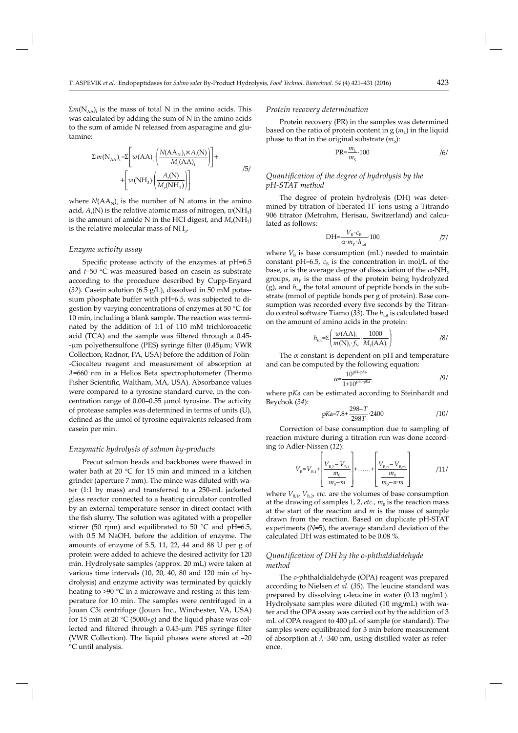$\sum m(N_{AA})$ <sub>i</sub> is the mass of total N in the amino acids. This was calculated by adding the sum of N in the amino acids to the sum of amide N released from asparagine and glutamine:

$$
\Sigma m(N_{AA})_i = \Sigma \left[ w(AA)_i \cdot \left( \frac{N(AA_N)_i \times A_r(N)}{M_r(AA)_i} \right) \right] + \left[ w(NH_3) \cdot \left( \frac{A_r(N)}{M_r(NH_3)} \right) \right] \tag{5/}
$$

where  $N(AA<sub>N</sub>)<sub>i</sub>$  is the number of N atoms in the amino acid,  $A_r(N)$  is the relative atomic mass of nitrogen,  $w(NH_3)$ is the amount of amide N in the HCl digest, and  $M_r(NH_3)$ is the relative molecular mass of  $NH<sub>3</sub>$ .

#### *Enzyme activity assay*

Specific protease activity of the enzymes at pH=6.5 and *t*=50 °C was measured based on casein as substrate according to the procedure described by Cupp-Enyard (*32*). Casein solution (6.5 g/L), dissolved in 50 mM potassium phosphate buffer with pH=6.5, was subjected to digestion by varying concentrations of enzymes at 50 °C for 10 min, including a blank sample. The reaction was terminated by the addition of 1:1 of 110 mM trichloroacetic acid (TCA) and the sample was filtered through a 0.45--μm polyethersulfone (PES) syringe filter (0.45μm; VWR Collection, Radnor, PA, USA) before the addition of Folin- -Ciocalteu reagent and measurement of absorption at *λ*=660 nm in a Helios Beta spectrophotometer (Thermo Fisher Scientific, Waltham, MA, USA). Absorbance values were compared to a tyrosine standard curve, in the concentration range of 0.00–0.55 μmol tyrosine. The activity of protease samples was determined in terms of units (U), defined as the μmol of tyrosine equivalents released from casein per min.

#### *Enzymatic hydrolysis of salmon by-products*

Precut salmon heads and backbones were thawed in water bath at 20 °C for 15 min and minced in a kitchen grinder (aperture 7 mm). The mince was diluted with water (1:1 by mass) and transferred to a 250-mL jacketed glass reactor connected to a heating circulator controlled by an external temperature sensor in direct contact with the fish slurry. The solution was agitated with a propeller stirrer (50 rpm) and equilibrated to 50  $^{\circ}$ C and pH=6.5, with 0.5 M NaOH, before the addition of enzyme. The amounts of enzyme of 5.5, 11, 22, 44 and 88 U per g of protein were added to achieve the desired activity for 120 min. Hydrolysate samples (approx. 20 mL) were taken at various time intervals (10, 20, 40, 80 and 120 min of hydrolysis) and enzyme activity was terminated by quickly heating to >90 °C in a microwave and resting at this temperature for 10 min. The samples were centrifuged in a Jouan C3i centrifuge (Jouan Inc., Winchester, VA, USA) for 15 min at 20 °C (5000×*g*) and the liquid phase was collected and filtered through a 0.45-μm PES syringe filter (VWR Collection). The liquid phases were stored at –20 °C until analysis.

#### *Protein recovery determination*

Protein recovery (PR) in the samples was determined based on the ratio of protein content in  $g(m_l)$  in the liquid phase to that in the original substrate  $(m<sub>s</sub>)$ :

$$
PR = \frac{m_L}{m_S} \cdot 100 \tag{6}
$$

# *Quantifi cation of the degree of hydrolysis by the pH-STAT method*

The degree of protein hydrolysis (DH) was determined by titration of liberated H<sup>+</sup> ions using a Titrando 906 titrator (Metrohm, Herisau, Switzerland) and calculated as follows:

$$
DH = \frac{V_B \cdot c_B}{\alpha \cdot m_P \cdot h_{\text{tot}}} \cdot 100 \tag{7}
$$

where  $V_B$  is base consumption (mL) needed to maintain constant pH=6.5,  $c_B$  is the concentration in mol/L of the base,  $\alpha$  is the average degree of dissociation of the  $\alpha$ -NH<sub>2</sub> groups,  $m<sub>p</sub>$  is the mass of the protein being hydrolyzed (g), and  $h_{\text{tot}}$  the total amount of peptide bonds in the substrate (mmol of peptide bonds per g of protein). Base consumption was recorded every five seconds by the Titrando control software Tiamo (33). The  $h_{tot}$  is calculated based on the amount of amino acids in the protein:

$$
h_{\text{tot}} = \sum \left( \frac{w(\text{AA})_i}{m(\text{N})_i \cdot f_{\text{N}}} \cdot \frac{1000}{M_{\text{r}}(\text{AA})_i} \right) \tag{8}
$$

The  $\alpha$  constant is dependent on pH and temperature and can be computed by the following equation:

$$
\alpha = \frac{10^{pH-pKa}}{1 + 10^{pH-pKa}} \tag{9}
$$

where p*K*a can be estimated according to Steinhardt and Beychok (*34*):

$$
pKa = 7.8 + \frac{298 - T}{298T} \cdot 2400
$$
 (10)

Correction of base consumption due to sampling of reaction mixture during a titration run was done according to Adler-Nissen (*12*):

$$
V_{\rm B} = V_{\rm B,1} + \left[ \frac{V_{\rm B,2} - V_{\rm B,1}}{m_{\rm 0} - m} \right] + \dots + \left[ \frac{V_{\rm B,n} - V_{\rm B,m}}{m_{\rm 0} - n \cdot m} \right]
$$
 (11/

where  $V_{B,1}$ ,  $V_{B,2}$ , *etc.* are the volumes of base consumption at the drawing of samples 1, 2, *etc.*,  $m_0$  is the reaction mass at the start of the reaction and *m* is the mass of sample drawn from the reaction. Based on duplicate pH-STAT experiments (*N*=5), the average standard deviation of the calculated DH was estimated to be 0.08 %.

# *Quantifi cation of DH by the o-phthaldialdehyde method*

The *o*-phthaldialdehyde (OPA) reagent was prepared according to Nielsen *et al*. (*35*). The leucine standard was prepared by dissolving *L*-leucine in water (0.13 mg/mL). Hydrolysate samples were diluted (10 mg/mL) with water and the OPA assay was carried out by the addition of 3 mL of OPA reagent to 400 μL of sample (or standard). The samples were equilibrated for 3 min before measurement of absorption at *λ*=340 nm, using distilled water as reference.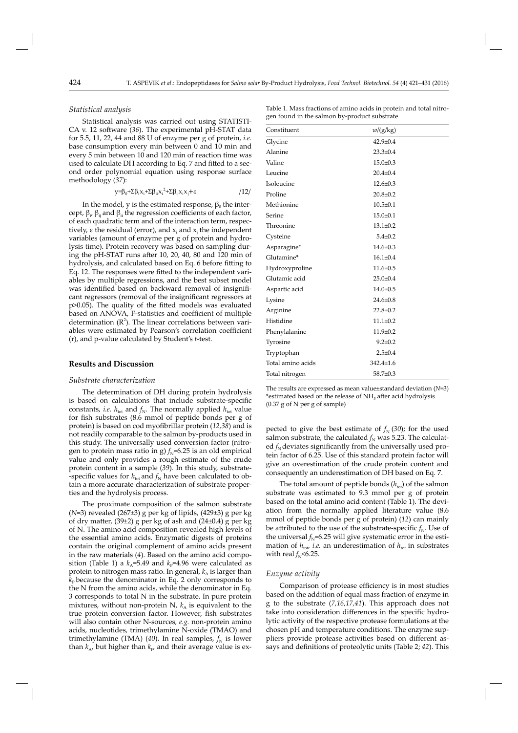## *Statistical analysis*

Statistical analysis was carried out using STATISTI-CA v. 12 software (36). The experimental pH-STAT data for 5.5, 11, 22, 44 and 88 U of enzyme per g of protein, *i.e.* base consumption every min between 0 and 10 min and every 5 min between 10 and 120 min of reaction time was used to calculate DH according to Eq. 7 and fitted to a second order polynomial equation using response surface methodology (*37*):

$$
y=\beta_0+\Sigma\beta_i x_i+\Sigma\beta_{ii}x_i^2+\Sigma\beta_{ij}x_ix_j+\varepsilon
$$

In the model, y is the estimated response,  $\beta_0$  the intercept,  $β<sub>i</sub> β<sub>ij</sub>$  and  $β<sub>ii</sub>$  the regression coefficients of each factor, of each quadratic term and of the interaction term, respectively, ε the residual (error), and  $x_i$  and  $x_j$  the independent variables (amount of enzyme per g of protein and hydrolysis time). Protein recovery was based on sampling during the pH-STAT runs after 10, 20, 40, 80 and 120 min of hydrolysis, and calculated based on Eq. 6 before fitting to Eq. 12. The responses were fitted to the independent variables by multiple regressions, and the best subset model was identified based on backward removal of insignificant regressors (removal of the insignificant regressors at  $p$  $>$ 0.05). The quality of the fitted models was evaluated based on ANOVA, F-statistics and coefficient of multiple determination  $(R^2)$ . The linear correlations between variables were estimated by Pearson's correlation coefficient (r), and p-value calculated by Student's *t*-test.

#### **Results and Discussion**

#### *Substrate characterization*

The determination of DH during protein hydrolysis is based on calculations that include substrate-specific constants, *i.e.*  $h_{\text{tot}}$  and  $f_{\text{N}}$ . The normally applied  $h_{\text{tot}}$  value for fish substrates (8.6 mmol of peptide bonds per g of protein) is based on cod myofibrillar protein (12,38) and is not readily comparable to the salmon by-products used in this study. The universally used conversion factor (nitrogen to protein mass ratio in g)  $f_N$ =6.25 is an old empirical value and only provides a rough estimate of the crude protein content in a sample (*39*). In this study, substrate- -specific values for  $h_{\text{tot}}$  and  $f_N$  have been calculated to obtain a more accurate characterization of substrate properties and the hydrolysis process.

The proximate composition of the salmon substrate (*N*=3) revealed (267±3) g per kg of lipids, (429±3) g per kg of dry matter,  $(39±2)$  g per kg of ash and  $(24±0.4)$  g per kg of N. The amino acid composition revealed high levels of the essential amino acids. Enzymatic digests of proteins contain the original complement of amino acids present in the raw materials (*4*). Based on the amino acid composition (Table 1) a  $k_A$ =5.49 and  $k_P$ =4.96 were calculated as protein to nitrogen mass ratio. In general,  $k_A$  is larger than  $\bar{k}_P$  because the denominator in Eq. 2 only corresponds to the N from the amino acids, while the denominator in Eq. 3 corresponds to total N in the substrate. In pure protein mixtures, without non-protein N,  $k_A$  is equivalent to the true protein conversion factor. However, fish substrates will also contain other N-sources*, e.g.* non-protein amino acids, nucleotides, trimethylamine N-oxide (TMAO) and trimethylamine (TMA) (40). In real samples,  $f_N$  is lower than  $k_{A}$ , but higher than  $k_{P}$ , and their average value is ex-

Table 1. Mass fractions of amino acids in protein and total nitrogen found in the salmon by-product substrate

| Constituent       | w/(g/kg)        |
|-------------------|-----------------|
| Glycine           | $42.9 \pm 0.4$  |
| Alanine           | $23.3 \pm 0.4$  |
| Valine            | $15.0 \pm 0.3$  |
| Leucine           | $20.4 \pm 0.4$  |
| Isoleucine        | $12.6 \pm 0.3$  |
| Proline           | $20.8 \pm 0.2$  |
| Methionine        | $10.5 \pm 0.1$  |
| Serine            | $15.0 \pm 0.1$  |
| Threonine         | $13.1 \pm 0.2$  |
| Cysteine          | $5.4 \pm 0.2$   |
| Asparagine*       | $14.6 \pm 0.3$  |
| Glutamine*        | $16.1 \pm 0.4$  |
| Hydroxyproline    | $11.6 \pm 0.5$  |
| Glutamic acid     | $25.0 \pm 0.4$  |
| Aspartic acid     | $14.0 \pm 0.5$  |
| Lysine            | $24.6 \pm 0.8$  |
| Arginine          | $22.8 \pm 0.2$  |
| Histidine         | $11.1 \pm 0.2$  |
| Phenylalanine     | $11.9 \pm 0.2$  |
| Tyrosine          | $9.2 \pm 0.2$   |
| Tryptophan        | $2.5 \pm 0.4$   |
| Total amino acids | $342.4 \pm 1.6$ |
| Total nitrogen    | $58.7 \pm 0.3$  |

The results are expressed as mean value±standard deviation (*N*=3) \*estimated based on the release of  $NH<sub>3</sub>$  after acid hydrolysis (0.37 g of N per g of sample)

pected to give the best estimate of  $f_N(30)$ ; for the used salmon substrate, the calculated  $f_N$  was 5.23. The calculated  $f_N$  deviates significantly from the universally used protein factor of 6.25. Use of this standard protein factor will give an overestimation of the crude protein content and consequently an underestimation of DH based on Eq. 7.

The total amount of peptide bonds  $(h_{\text{tot}})$  of the salmon substrate was estimated to 9.3 mmol per g of protein based on the total amino acid content (Table 1). The deviation from the normally applied literature value (8.6 mmol of peptide bonds per g of protein) (*12*) can mainly be attributed to the use of the substrate-specific  $f_N$ . Use of the universal  $f_N$ =6.25 will give systematic error in the estimation of  $h_{tot}$  *i.e.* an underestimation of  $h_{tot}$  in substrates with real  $f_N$  <6.25.

#### *Enzyme activity*

Comparison of protease efficiency is in most studies based on the addition of equal mass fraction of enzyme in g to the substrate (*7,16,17,41*). This approach does not take into consideration differences in the specific hydrolytic activity of the respective protease formulations at the chosen pH and temperature conditions. The enzyme suppliers provide protease activities based on different assays and definitions of proteolytic units (Table 2; 42). This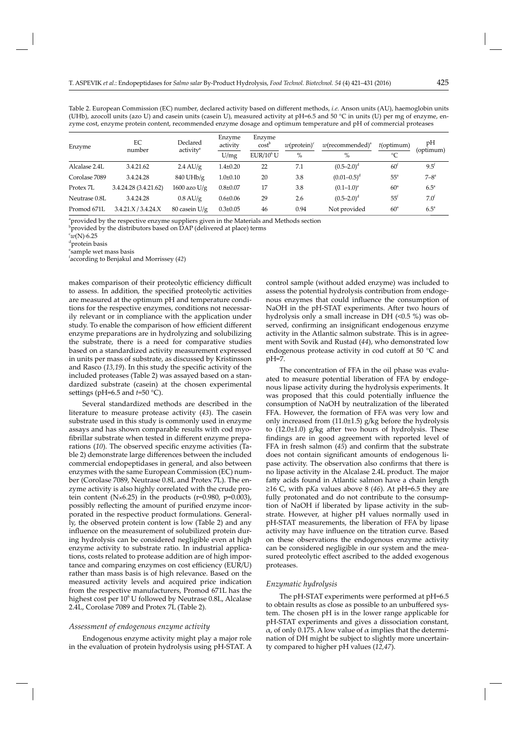Table 2. European Commission (EC) number, declared activity based on different methods, *i.e.* Anson units (AU), haemoglobin units (UHb), azocoll units (azo U) and casein units (casein U), measured activity at pH=6.5 and 50 °C in units (U) per mg of enzyme, enzyme cost, enzyme protein content, recommended enzyme dosage and optimum temperature and pH of commercial proteases

| Enzyme        | EC<br>number          | Declared<br>activity <sup>a</sup> | Enzyme<br>activity | Enzyme<br>cost <sup>b</sup> | $w(\text{protein})^c$ | $w$ (recommended) <sup>a</sup> | $t$ (optimum)   | pH<br>(optimum)  |
|---------------|-----------------------|-----------------------------------|--------------------|-----------------------------|-----------------------|--------------------------------|-----------------|------------------|
|               |                       |                                   | U/mg               | EUR/10 <sup>6</sup> U       | $\%$                  | $\%$                           | $^{\circ}C$     |                  |
| Alcalase 2.4L | 3.4.21.62             | $2.4 \text{ AU/g}$                | $1.4 \pm 0.20$     | 22                          | 7.1                   | $(0.5-2.0)^d$                  | 60 <sup>t</sup> | $9.5^{\rm f}$    |
| Corolase 7089 | 3.4.24.28             | $840$ UHb/g                       | $1.0 \pm 0.10$     | 20                          | 3.8                   | $(0.01 - 0.5)^d$               | $55^{\circ}$    | $7 - 8^a$        |
| Protex 7L     | 3.4.24.28 (3.4.21.62) | $1600$ azo U/g                    | $0.8 \pm 0.07$     | 17                          | 3.8                   | $(0.1-1.0)^e$                  | 60 <sup>a</sup> | $6.5^{\circ}$    |
| Neutrase 0.8L | 3.4.24.28             | $0.8 \text{ AU/g}$                | $0.6 \pm 0.06$     | 29                          | 2.6                   | $(0.5-2.0)^d$                  | $55^{\circ}$    | 7.0 <sup>f</sup> |
| Promod 671L   | 3.4.21.X/3.4.24.X     | $80$ casein U/g                   | $0.3 \pm 0.05$     | 46                          | 0.94                  | Not provided                   | $60^{\circ}$    | $6.5^{\circ}$    |

<sup>a</sup>provided by the respective enzyme suppliers given in the Materials and Methods section

 $^{\circ}$ provided by the distributors based on DAP (delivered at place) terms

 $\int_{0}^{c} w(N) \cdot 6.25$ 

d protein basis

e sample wet mass basis

f according to Benjakul and Morrissey (*42*)

makes comparison of their proteolytic efficiency difficult to assess. In addition, the specified proteolytic activities are measured at the optimum pH and temperature conditions for the respective enzymes, conditions not necessarily relevant or in compliance with the application under study. To enable the comparison of how efficient different enzyme preparations are in hydrolyzing and solubilizing the substrate, there is a need for comparative studies based on a standardized activity measurement expressed in units per mass of substrate, as discussed by Kristinsson and Rasco (13,19). In this study the specific activity of the included proteases (Table 2) was assayed based on a standardized substrate (casein) at the chosen experimental settings (pH=6.5 and *t*=50 °C).

Several standardized methods are described in the literature to measure protease activity (*43*). The casein substrate used in this study is commonly used in enzyme assays and has shown comparable results with cod myofibrillar substrate when tested in different enzyme preparations (10). The observed specific enzyme activities (Table 2) demonstrate large differences between the included commercial endopeptidases in general, and also between enzymes with the same European Commission (EC) number (Corolase 7089, Neutrase 0.8L and Protex 7L). The enzyme activity is also highly correlated with the crude protein content ( $N\times6.25$ ) in the products (r=0.980, p=0.003), possibly reflecting the amount of purified enzyme incorporated in the respective product formulations. Generally, the observed protein content is low (Table 2) and any influence on the measurement of solubilized protein during hydrolysis can be considered negligible even at high enzyme activity to substrate ratio. In industrial applications, costs related to protease addition are of high importance and comparing enzymes on cost efficiency (EUR/U) rather than mass basis is of high relevance. Based on the measured activity levels and acquired price indication from the respective manufacturers, Promod 671L has the highest cost per  $10^6$  U followed by Neutrase 0.8L, Alcalase 2.4L, Corolase 7089 and Protex 7L (Table 2).

#### *Assessment of endogenous enzyme activity*

Endogenous enzyme activity might play a major role in the evaluation of protein hydrolysis using pH-STAT. A

control sample (without added enzyme) was included to assess the potential hydrolysis contribution from endogenous enzymes that could influence the consumption of NaOH in the pH-STAT experiments. After two hours of hydrolysis only a small increase in DH (<0.5 %) was observed, confirming an insignificant endogenous enzyme activity in the Atlantic salmon substrate. This is in agreement with Sovik and Rustad (*44*), who demonstrated low endogenous protease activity in cod cutoff at 50 °C and pH=7.

The concentration of FFA in the oil phase was evaluated to measure potential liberation of FFA by endogenous lipase activity during the hydrolysis experiments. It was proposed that this could potentially influence the consumption of NaOH by neutralization of the liberated FFA. However, the formation of FFA was very low and only increased from (11.0±1.5) g/kg before the hydrolysis to  $(12.0\pm1.0)$  g/kg after two hours of hydrolysis. These findings are in good agreement with reported level of FFA in fresh salmon (45) and confirm that the substrate does not contain significant amounts of endogenous lipase activity. The observation also confirms that there is no lipase activity in the Alcalase 2.4L product. The major fatty acids found in Atlantic salmon have a chain length ≥16 C, with p*K*a values above 8 (*46*). At pH=6.5 they are fully protonated and do not contribute to the consumption of NaOH if liberated by lipase activity in the substrate. However, at higher pH values normally used in pH-STAT measurements, the liberation of FFA by lipase activity may have influence on the titration curve. Based on these observations the endogenous enzyme activity can be considered negligible in our system and the measured proteolytic effect ascribed to the added exogenous proteases.

# *Enzymatic hydrolysis*

The pH-STAT experiments were performed at pH=6.5 to obtain results as close as possible to an unbuffered system. The chosen pH is in the lower range applicable for pH-STAT experiments and gives a dissociation constant, α, of only 0.175. A low value of α implies that the determination of DH might be subject to slightly more uncertainty compared to higher pH values (*12,47*).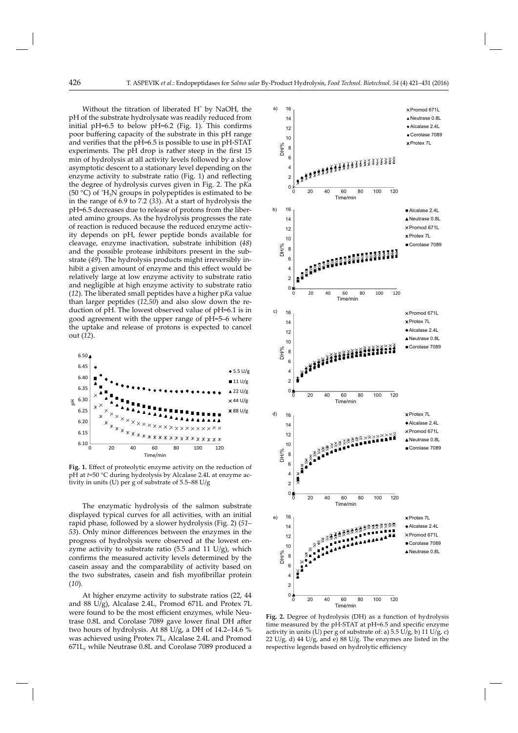Without the titration of liberated  $H^*$  by NaOH, the pH of the substrate hydrolysate was readily reduced from initial pH=6.5 to below pH=6.2 (Fig. 1). This confirms poor buffering capacity of the substrate in this pH range and verifies that the pH=6.5 is possible to use in pH-STAT experiments. The pH drop is rather steep in the first 15 min of hydrolysis at all activity levels followed by a slow asymptotic descent to a stationary level depending on the enzyme activity to substrate ratio (Fig. 1) and reflecting the degree of hydrolysis curves given in Fig. 2. The p*K*a (50 °C) of  $H_3N$  groups in polypeptides is estimated to be in the range of 6.9 to 7.2 (*33*). At a start of hydrolysis the pH=6.5 decreases due to release of protons from the liberated amino groups. As the hydrolysis progresses the rate of reaction is reduced because the reduced enzyme activity depends on pH, fewer peptide bonds available for cleavage, enzyme inactivation, substrate inhibition (*48*) and the possible protease inhibitors present in the substrate (*49*). The hydrolysis products might irreversibly inhibit a given amount of enzyme and this effect would be relatively large at low enzyme activity to substrate ratio and negligible at high enzyme activity to substrate ratio (*12*). The liberated small peptides have a higher p*K*a value than larger peptides (*12,50*) and also slow down the reduction of pH. The lowest observed value of pH=6.1 is in good agreement with the upper range of pH=5–6 where the uptake and release of protons is expected to cancel out (*12*).



Fig. 1. Effect of proteolytic enzyme activity on the reduction of pH at *t*=50 °C during hydrolysis by Alcalase 2.4L at enzyme activity in units (U) per g of substrate of 5.5–88 U/g

The enzymatic hydrolysis of the salmon substrate displayed typical curves for all activities, with an initial rapid phase, followed by a slower hydrolysis (Fig. 2) (*51– 53*). Only minor differences between the enzymes in the progress of hydrolysis were observed at the lowest enzyme activity to substrate ratio  $(5.5 \text{ and } 11 \text{ U/g})$ , which confirms the measured activity levels determined by the casein assay and the comparability of activity based on the two substrates, casein and fish myofibrillar protein (*10*).

At higher enzyme activity to substrate ratios (22, 44 and 88 U/g), Alcalase 2.4L, Promod 671L and Protex 7L were found to be the most efficient enzymes, while Neutrase 0.8L and Corolase 7089 gave lower final DH after two hours of hydrolysis. At 88 U/g, a DH of 14.2–14.6 % was achieved using Protex 7L, Alcalase 2.4L and Promod 671L, while Neutrase 0.8L and Corolase 7089 produced a



**Fig. 2.** Degree of hydrolysis (DH) as a function of hydrolysis time measured by the pH-STAT at pH=6.5 and specific enzyme activity in units (U) per g of substrate of: a)  $5.5$  U/g, b)  $11$  U/g, c) 22 U/g, d) 44 U/g, and e) 88 U/g. The enzymes are listed in the respective legends based on hydrolytic efficiency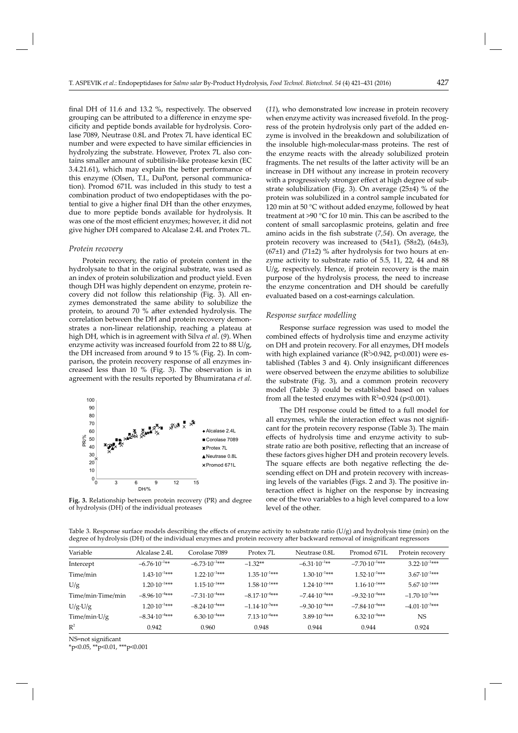final DH of 11.6 and 13.2  $\%$ , respectively. The observed grouping can be attributed to a difference in enzyme specificity and peptide bonds available for hydrolysis. Corolase 7089, Neutrase 0.8L and Protex 7L have identical EC number and were expected to have similar efficiencies in hydrolyzing the substrate. However, Protex 7L also contains smaller amount of subtilisin-like protease kexin (EC  $3.4.21.61$ ), which may explain the better performance of this enzyme (Olsen, T.I., DuPont, personal communication). Promod 671L was included in this study to test a combination product of two endopeptidases with the potential to give a higher final DH than the other enzymes, due to more peptide bonds available for hydrolysis. It was one of the most efficient enzymes; however, it did not give higher DH compared to Alcalase 2.4L and Protex 7L.

#### *Protein recovery*

Protein recovery, the ratio of protein content in the hydrolysate to that in the original substrate, was used as an index of protein solubilization and product yield. Even though DH was highly dependent on enzyme, protein recovery did not follow this relationship (Fig. 3). All enzymes demonstrated the same ability to solubilize the protein, to around 70 % after extended hydrolysis. The correlation between the DH and protein recovery demonstrates a non-linear relationship, reaching a plateau at high DH, which is in agreement with Silva *et al*. (*9*). When enzyme activity was increased fourfold from 22 to 88 U/g, the DH increased from around 9 to 15 % (Fig. 2). In comparison, the protein recovery response of all enzymes increased less than 10 % (Fig. 3). The observation is in agreement with the results reported by Bhumiratana *et al*.



**Fig. 3.** Relationship between protein recovery (PR) and degree of hydrolysis (DH) of the individual proteases

(*11*), who demonstrated low increase in protein recovery when enzyme activity was increased fivefold. In the progress of the protein hydrolysis only part of the added enzyme is involved in the breakdown and solubilization of the insoluble high-molecular-mass proteins. The rest of the enzyme reacts with the already solubilized protein fragments. The net results of the latter activity will be an increase in DH without any increase in protein recovery with a progressively stronger effect at high degree of substrate solubilization (Fig. 3). On average (25±4) % of the protein was solubilized in a control sample incubated for 120 min at 50 °C without added enzyme, followed by heat treatment at >90 °C for 10 min. This can be ascribed to the content of small sarcoplasmic proteins, gelatin and free amino acids in the fish substrate (7,54). On average, the protein recovery was increased to (54±1), (58±2), (64±3),  $(67±1)$  and  $(71±2)$  % after hydrolysis for two hours at enzyme activity to substrate ratio of 5.5, 11, 22, 44 and 88 U/g, respectively. Hence, if protein recovery is the main purpose of the hydrolysis process, the need to increase the enzyme concentration and DH should be carefully evaluated based on a cost-earnings calculation.

#### *Response surface modelling*

Response surface regression was used to model the combined effects of hydrolysis time and enzyme activity on DH and protein recovery. For all enzymes, DH models with high explained variance ( $R^2$ >0.942, p<0.001) were established (Tables 3 and 4). Only insignificant differences were observed between the enzyme abilities to solubilize the substrate (Fig. 3), and a common protein recovery model (Table 3) could be established based on values from all the tested enzymes with  $R^2$ =0.924 (p<0.001).

The DH response could be fitted to a full model for all enzymes, while the interaction effect was not significant for the protein recovery response (Table 3). The main effects of hydrolysis time and enzyme activity to substrate ratio are both positive, reflecting that an increase of these factors gives higher DH and protein recovery levels. The square effects are both negative reflecting the descending effect on DH and protein recovery with increasing levels of the variables (Figs. 2 and 3). The positive interaction effect is higher on the response by increasing one of the two variables to a high level compared to a low level of the other.

Table 3. Response surface models describing the effects of enzyme activity to substrate ratio ( $U/g$ ) and hydrolysis time (min) on the degree of hydrolysis (DH) of the individual enzymes and protein recovery after backward removal of insignificant regressors

| Variable             | Alcalase 2.4L             | Corolase 7089             | Protex 7L                | Neutrase 0.8L             | Promod 671L              | Protein recovery          |
|----------------------|---------------------------|---------------------------|--------------------------|---------------------------|--------------------------|---------------------------|
| Intercept            | $-6.76 \cdot 10^{-1**}$   | $-6.73 \cdot 10^{-1***}$  | $-1.32**$                | $-6.31 \cdot 10^{-1**}$   | $-7.70 \cdot 10^{-1***}$ | $3.22 \cdot 10^{-1***}$   |
| Time/min             | $1.43 \cdot 10^{-1***}$   | $1.22 \cdot 10^{-1***}$   | $1.35 \cdot 10^{-1***}$  | $1.30 \cdot 10^{-1***}$   | $1.52 \cdot 10^{-1***}$  | $3.67 \cdot 10^{-1***}$   |
| U/g                  | $1.20 \cdot 10^{-1***}$   | $1.15 \cdot 10^{-1***}$   | $1.58 \cdot 10^{-1***}$  | $1.24 \cdot 10^{-1***}$   | $1.16 \cdot 10^{-1***}$  | $5.67 \cdot 10^{-1***}$   |
| Time/min·Time/min    | $-8.96 \cdot 10^{-4***}$  | $-7.31 \cdot 10^{-4}$ *** | $-8.17 \cdot 10^{-4***}$ | $-7.44 \cdot 10^{-4}$ *** | $-9.32 \cdot 10^{-4***}$ | $-1.70 \cdot 10^{-3}$ *** |
| $U/g \cdot U/g$      | $1.20 \cdot 10^{-1***}$   | $-8.24 \cdot 10^{-4***}$  | $-1.14 \cdot 10^{-3***}$ | $-9.30 \cdot 10^{-4***}$  | $-7.84 \cdot 10^{-4***}$ | $-4.01 \cdot 10^{-3***}$  |
| Time/min $\cdot$ U/g | $-8.34 \cdot 10^{-4}$ *** | $6.30 \cdot 10^{-4***}$   | $7.13 \cdot 10^{-4***}$  | $3.89 \cdot 10^{-4***}$   | $6.32 \cdot 10^{-4}$ *** | NS                        |
| $R^2$                | 0.942                     | 0.960                     | 0.948                    | 0.944                     | 0.944                    | 0.924                     |

NS=not significant

\*p<0.05, \*\*p<0.01, \*\*\*p<0.001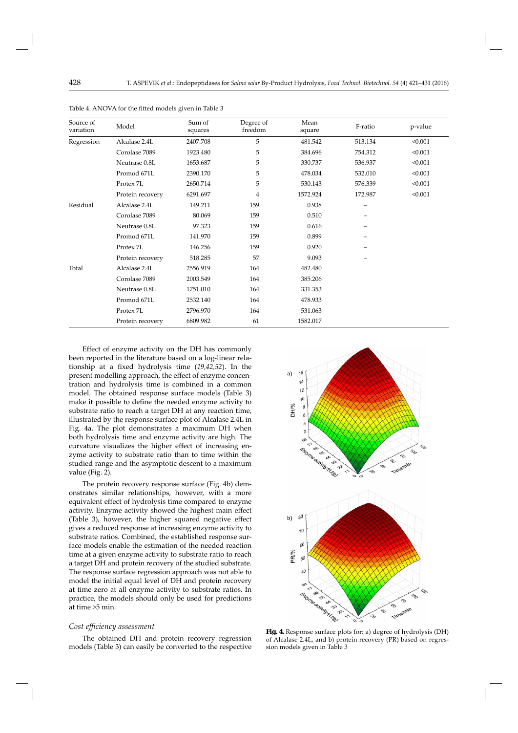| Source of<br>variation | Model            | Sum of<br>squares | Degree of<br>freedom | Mean<br>square | F-ratio | p-value |
|------------------------|------------------|-------------------|----------------------|----------------|---------|---------|
| Regression             | Alcalase 2.4L    | 2407.708          | 5                    | 481.542        | 513.134 | < 0.001 |
|                        | Corolase 7089    | 1923.480          | 5                    | 384.696        | 754.312 | < 0.001 |
|                        | Neutrase 0.8L    | 1653.687          | 5                    | 330.737        | 536.937 | < 0.001 |
|                        | Promod 671L      | 2390.170          | 5                    | 478.034        | 532.010 | < 0.001 |
|                        | Protex 7L        | 2650.714          | 5                    | 530.143        | 576.339 | < 0.001 |
|                        | Protein recovery | 6291.697          | $\overline{4}$       | 1572.924       | 172.987 | < 0.001 |
| Residual               | Alcalase 2.4L    | 149.211           | 159                  | 0.938          |         |         |
|                        | Corolase 7089    | 80.069            | 159                  | 0.510          |         |         |
|                        | Neutrase 0.8L    | 97.323            | 159                  | 0.616          |         |         |
|                        | Promod 671L      | 141.970           | 159                  | 0.899          |         |         |
|                        | Protex 7L        | 146.256           | 159                  | 0.920          |         |         |
|                        | Protein recovery | 518.285           | 57                   | 9.093          |         |         |
| Total                  | Alcalase 2.4L    | 2556.919          | 164                  | 482.480        |         |         |
|                        | Corolase 7089    | 2003.549          | 164                  | 385.206        |         |         |
|                        | Neutrase 0.8L    | 1751.010          | 164                  | 331.353        |         |         |
|                        | Promod 671L      | 2532.140          | 164                  | 478.933        |         |         |
|                        | Protex 7L        | 2796.970          | 164                  | 531.063        |         |         |
|                        | Protein recovery | 6809.982          | 61                   | 1582.017       |         |         |

Table 4. ANOVA for the fitted models given in Table 3

Effect of enzyme activity on the DH has commonly been reported in the literature based on a log-linear relationship at a fixed hydrolysis time (19,42,52). In the present modelling approach, the effect of enzyme concentration and hydrolysis time is combined in a common model. The obtained response surface models (Table 3) make it possible to define the needed enzyme activity to substrate ratio to reach a target DH at any reaction time, illustrated by the response surface plot of Alcalase 2.4L in Fig. 4a. The plot demonstrates a maximum DH when both hydrolysis time and enzyme activity are high. The curvature visualizes the higher effect of increasing enzyme activity to substrate ratio than to time within the studied range and the asymptotic descent to a maximum value (Fig. 2).

The protein recovery response surface (Fig. 4b) demonstrates similar relationships, however, with a more equivalent effect of hydrolysis time compared to enzyme activity. Enzyme activity showed the highest main effect (Table 3), however, the higher squared negative effect gives a reduced response at increasing enzyme activity to substrate ratios. Combined, the established response surface models enable the estimation of the needed reaction time at a given enzyme activity to substrate ratio to reach a target DH and protein recovery of the studied substrate. The response surface regression approach was not able to model the initial equal level of DH and protein recovery at time zero at all enzyme activity to substrate ratios. In practice, the models should only be used for predictions at time >5 min.

#### *Cost effi ciency assessment*

The obtained DH and protein recovery regression models (Table 3) can easily be converted to the respective



**Fig. 4.** Response surface plots for: a) degree of hydrolysis (DH) of Alcalase 2.4L, and b) protein recovery (PR) based on regression models given in Table 3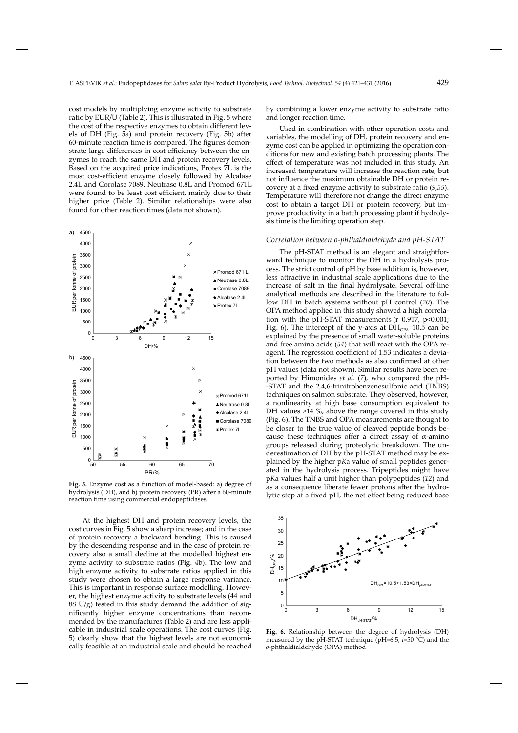cost models by multiplying enzyme activity to substrate ratio by EUR/U (Table 2). This is illustrated in Fig. 5 where the cost of the respective enzymes to obtain different levels of DH (Fig. 5a) and protein recovery (Fig. 5b) after 60-minute reaction time is compared. The figures demonstrate large differences in cost efficiency between the enzymes to reach the same DH and protein recovery levels. Based on the acquired price indications, Protex 7L is the most cost-efficient enzyme closely followed by Alcalase 2.4L and Corolase 7089. Neutrase 0.8L and Promod 671L were found to be least cost efficient, mainly due to their higher price (Table 2). Similar relationships were also found for other reaction times (data not shown).



**Fig. 5.** Enzyme cost as a function of model-based: a) degree of hydrolysis (DH), and b) protein recovery (PR) after a 60-minute reaction time using commercial endopeptidases

At the highest DH and protein recovery levels, the cost curves in Fig. 5 show a sharp increase; and in the case of protein recovery a backward bending. This is caused by the descending response and in the case of protein recovery also a small decline at the modelled highest enzyme activity to substrate ratios (Fig. 4b). The low and high enzyme activity to substrate ratios applied in this study were chosen to obtain a large response variance. This is important in response surface modelling. However, the highest enzyme activity to substrate levels (44 and  $88 \text{ U/g}$ ) tested in this study demand the addition of significantly higher enzyme concentrations than recommended by the manufactures (Table 2) and are less applicable in industrial scale operations. The cost curves (Fig. 5) clearly show that the highest levels are not economically feasible at an industrial scale and should be reached by combining a lower enzyme activity to substrate ratio and longer reaction time.

Used in combination with other operation costs and variables, the modelling of DH, protein recovery and enzyme cost can be applied in optimizing the operation conditions for new and existing batch processing plants. The effect of temperature was not included in this study. An increased temperature will increase the reaction rate, but not influence the maximum obtainable DH or protein recovery at a fixed enzyme activity to substrate ratio (9,55). Temperature will therefore not change the direct enzyme cost to obtain a target DH or protein recovery, but improve productivity in a batch processing plant if hydrolysis time is the limiting operation step.

### *Correlation between o-phthaldialdehyde and pH-STAT*

The pH-STAT method is an elegant and straightforward technique to monitor the DH in a hydrolysis process. The strict control of pH by base addition is, however, less attractive in industrial scale applications due to the increase of salt in the final hydrolysate. Several off-line analytical methods are described in the literature to follow DH in batch systems without pH control (*20*). The OPA method applied in this study showed a high correlation with the pH-STAT measurements  $(r=0.917, p<0.001;$ Fig. 6). The intercept of the y-axis at  $DH<sub>OPA</sub>=10.5$  can be explained by the presence of small water-soluble proteins and free amino acids (*54*) that will react with the OPA reagent. The regression coefficient of 1.53 indicates a deviation between the two methods as also confirmed at other pH values (data not shown). Similar results have been reported by Himonides *et al*. (*7*), who compared the pH- -STAT and the 2,4,6-trinitrobenzenesulfonic acid (TNBS) techniques on salmon substrate. They observed, however, a nonlinearity at high base consumption equivalent to DH values >14 %, above the range covered in this study (Fig. 6). The TNBS and OPA measurements are thought to be closer to the true value of cleaved peptide bonds because these techniques offer a direct assay of  $\alpha$ -amino groups released during proteolytic breakdown. The underestimation of DH by the pH-STAT method may be explained by the higher p*K*a value of small peptides generated in the hydrolysis process. Tripeptides might have p*K*a values half a unit higher than polypeptides (*12*) and as a consequence liberate fewer protons after the hydrolytic step at a fixed pH, the net effect being reduced base



**Fig. 6.** Relationship between the degree of hydrolysis (DH) measured by the pH-STAT technique (pH=6.5, *t*=50 °C) and the *o*-phthaldialdehyde (OPA) method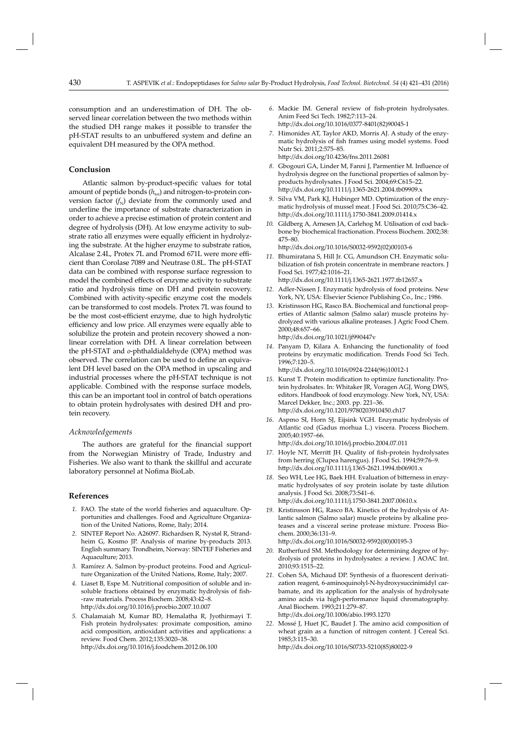consumption and an underestimation of DH. The observed linear correlation between the two methods within the studied DH range makes it possible to transfer the pH-STAT results to an unbuffered system and define an equivalent DH measured by the OPA method.

# **Conclusion**

Atlantic salmon by-product-specific values for total amount of peptide bonds  $(h_{\text{tot}})$  and nitrogen-to-protein conversion factor  $(f_N)$  deviate from the commonly used and underline the importance of substrate characterization in order to achieve a precise estimation of protein content and degree of hydrolysis (DH). At low enzyme activity to substrate ratio all enzymes were equally efficient in hydrolyzing the substrate. At the higher enzyme to substrate ratios, Alcalase 2.4L, Protex 7L and Promod 671L were more efficient than Corolase 7089 and Neutrase 0.8L. The pH-STAT data can be combined with response surface regression to model the combined effects of enzyme activity to substrate ratio and hydrolysis time on DH and protein recovery. Combined with activity-specific enzyme cost the models can be transformed to cost models. Protex 7L was found to be the most cost-efficient enzyme, due to high hydrolytic efficiency and low price. All enzymes were equally able to solubilize the protein and protein recovery showed a nonlinear correlation with DH. A linear correlation between the pH-STAT and *o*-phthaldialdehyde (OPA) method was observed. The correlation can be used to define an equivalent DH level based on the OPA method in upscaling and industrial processes where the pH-STAT technique is not applicable. Combined with the response surface models, this can be an important tool in control of batch operations to obtain protein hydrolysates with desired DH and protein recovery.

# *Acknowledgements*

The authors are grateful for the financial support from the Norwegian Ministry of Trade, Industry and Fisheries. We also want to thank the skillful and accurate laboratory personnel at Nofima BioLab.

# **References**

- 1. FAO. The state of the world fisheries and aquaculture. Opportunities and challenges. Food and Agriculture Organization of the United Nations, Rome, Italy; 2014.
- *2.* SINTEF Report No. A26097. Richardsen R, Nystøl R, Strandheim G, Kosmo JP. Analysis of marine by-products 2013. English summary. Trondheim, Norway: SINTEF Fisheries and Aquaculture; 2013.
- *3.* Ramírez A. Salmon by-product proteins. Food and Agriculture Organization of the United Nations, Rome, Italy; 2007.
- *4.* Liaset B, Espe M. Nutritional composition of soluble and insoluble fractions obtained by enzymatic hydrolysis of fish--raw materials. Process Biochem. 2008;43:42–8. http://dx.doi.org/10.1016/j.procbio.2007.10.007
- *5.* Chalamaiah M, Kumar BD, Hemalatha R, Jyothirmayi T. Fish protein hydrolysates: proximate composition, amino acid composition, antioxidant activities and applications: a review. Food Chem. 2012;135:3020–38. http://dx.doi.org/10.1016/j.foodchem.2012.06.100
- 6. Mackie IM. General review of fish-protein hydrolysates. Anim Feed Sci Tech. 1982;7:113–24. http://dx.doi.org/10.1016/0377-8401(82)90045-1
- *7.* Himonides AT, Taylor AKD, Morris AJ. A study of the enzymatic hydrolysis of fish frames using model systems. Food Nutr Sci. 2011;2:575–85. http://dx.doi.org/10.4236/fns.2011.26081
- 8. Gbogouri GA, Linder M, Fanni J, Parmentier M. Influence of hydrolysis degree on the functional properties of salmon byproducts hydrolysates. J Food Sci. 2004;69:C615–22. http://dx.doi.org/10.1111/j.1365-2621.2004.tb09909.x
- *9.* Silva VM, Park KJ, Hubinger MD. Optimization of the enzymatic hydrolysis of mussel meat. J Food Sci. 2010;75:C36–42. http://dx.doi.org/10.1111/j.1750-3841.2009.01414.x
- *10.* Gildberg A, Arnesen JA, Carlehog M. Utilisation of cod backbone by biochemical fractionation. Process Biochem. 2002;38: 475–80. http://dx.doi.org/10.1016/S0032-9592(02)00103-6
- *11.* Bhumiratana S, Hill Jr. CG, Amundson CH. Enzymatic solubilization of fish protein concentrate in membrane reactors. J Food Sci. 1977;42:1016–21. http://dx.doi.org/10.1111/j.1365-2621.1977.tb12657.x
- *12.* Adler-Nissen J. Enzymatic hydrolysis of food proteins. New York, NY, USA: Elsevier Science Publishing Co., Inc.; 1986.
- *13.* Kristinsson HG, Rasco BA. Biochemical and functional properties of Atlantic salmon (Salmo salar) muscle proteins hydrolyzed with various alkaline proteases. J Agric Food Chem. 2000;48:657–66.

http://dx.doi.org/10.1021/jf990447v

*14.* Panyam D, Kilara A. Enhancing the functionality of food proteins by enzymatic modification. Trends Food Sci Tech. 1996;7:120–5.

http://dx.doi.org/10.1016/0924-2244(96)10012-1

- 15. Kunst T. Protein modification to optimize functionality. Protein hydrolsates. In: Whitaker JR, Voragen AGJ, Wong DWS, editors. Handbook of food enzymology. New York, NY, USA: Marcel Dekker, Inc.; 2003. pp. 221–36. http://dx.doi.org/10.1201/9780203910450.ch17
- 16. Aspmo SI, Horn SJ, Eijsink VGH. Enzymatic hydrolysis of Atlantic cod (Gadus morhua L.) viscera. Process Biochem. 2005;40:1957–66. http://dx.doi.org/10.1016/j.procbio.2004.07.011
- 17. Hoyle NT, Merritt JH. Quality of fish-protein hydrolysates from herring (Clupea harengus). J Food Sci. 1994;59:76–9. http://dx.doi.org/10.1111/j.1365-2621.1994.tb06901.x
- 18. Seo WH, Lee HG, Baek HH. Evaluation of bitterness in enzymatic hydrolysates of soy protein isolate by taste dilution analysis. J Food Sci. 2008;73:S41–6. http://dx.doi.org/10.1111/j.1750-3841.2007.00610.x
- *19.* Kristinsson HG, Rasco BA. Kinetics of the hydrolysis of Atlantic salmon (Salmo salar) muscle proteins by alkaline proteases and a visceral serine protease mixture. Process Biochem. 2000;36:131–9. http://dx.doi.org/10.1016/S0032-9592(00)00195-3
- *20.* Rutherfurd SM. Methodology for determining degree of hydrolysis of proteins in hydrolysates: a review. J AOAC Int. 2010;93:1515–22.
- 21. Cohen SA, Michaud DP. Synthesis of a fluorescent derivatiza tion reagent, 6-aminoquinolyl-N-hydroxysuccinimidyl carbamate, and its application for the analysis of hydrolysate amino acids via high-performance liquid chromatography. Anal Biochem. 1993;211:279–87. http://dx.doi.org/10.1006/abio.1993.1270
- *22.* Mossé J, Huet JC, Baudet J. The amino acid composition of wheat grain as a function of nitrogen content. J Cereal Sci. 1985;3:115–30.

http://dx.doi.org/10.1016/S0733-5210(85)80022-9